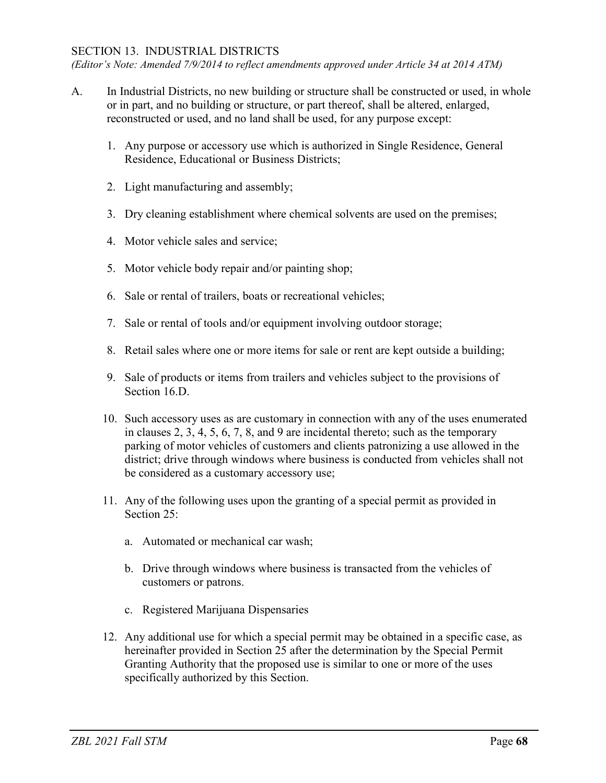## SECTION 13. INDUSTRIAL DISTRICTS

*(Editor's Note: Amended 7/9/2014 to reflect amendments approved under Article 34 at 2014 ATM)*

- A. In Industrial Districts, no new building or structure shall be constructed or used, in whole or in part, and no building or structure, or part thereof, shall be altered, enlarged, reconstructed or used, and no land shall be used, for any purpose except:
	- 1. Any purpose or accessory use which is authorized in Single Residence, General Residence, Educational or Business Districts;
	- 2. Light manufacturing and assembly;
	- 3. Dry cleaning establishment where chemical solvents are used on the premises;
	- 4. Motor vehicle sales and service;
	- 5. Motor vehicle body repair and/or painting shop;
	- 6. Sale or rental of trailers, boats or recreational vehicles;
	- 7. Sale or rental of tools and/or equipment involving outdoor storage;
	- 8. Retail sales where one or more items for sale or rent are kept outside a building;
	- 9. Sale of products or items from trailers and vehicles subject to the provisions of Section 16.D.
	- 10. Such accessory uses as are customary in connection with any of the uses enumerated in clauses 2, 3, 4, 5, 6, 7, 8, and 9 are incidental thereto; such as the temporary parking of motor vehicles of customers and clients patronizing a use allowed in the district; drive through windows where business is conducted from vehicles shall not be considered as a customary accessory use;
	- 11. Any of the following uses upon the granting of a special permit as provided in Section 25:
		- a. Automated or mechanical car wash;
		- b. Drive through windows where business is transacted from the vehicles of customers or patrons.
		- c. Registered Marijuana Dispensaries
	- 12. Any additional use for which a special permit may be obtained in a specific case, as hereinafter provided in Section 25 after the determination by the Special Permit Granting Authority that the proposed use is similar to one or more of the uses specifically authorized by this Section.